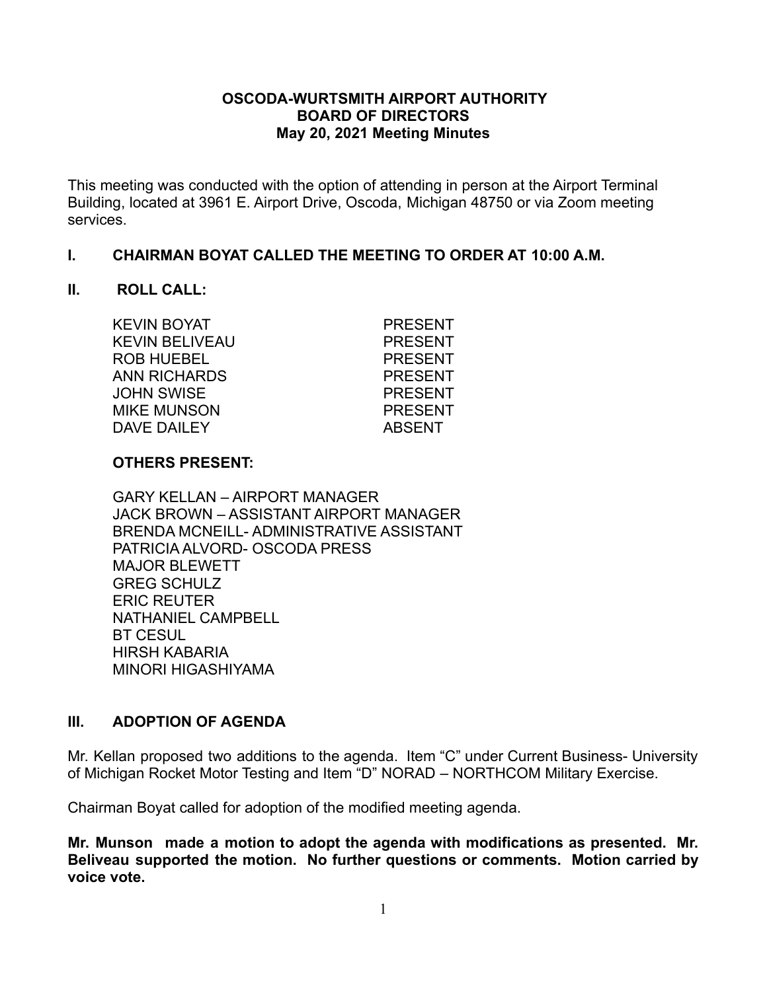### **OSCODA-WURTSMITH AIRPORT AUTHORITY BOARD OF DIRECTORS May 20, 2021 Meeting Minutes**

This meeting was conducted with the option of attending in person at the Airport Terminal Building, located at 3961 E. Airport Drive, Oscoda, Michigan 48750 or via Zoom meeting services.

### **I. CHAIRMAN BOYAT CALLED THE MEETING TO ORDER AT 10:00 A.M.**

### **II. ROLL CALL:**

KEVIN BOYAT PRESENT KEVIN BELIVEAU PRESENT ROB HUEBEL PRESENT ANN RICHARDS PRESENT JOHN SWISE PRESENT MIKE MUNSON PRESENT DAVE DAILEY ABSENT

# **OTHERS PRESENT:**

GARY KELLAN – AIRPORT MANAGER JACK BROWN – ASSISTANT AIRPORT MANAGER BRENDA MCNEILL- ADMINISTRATIVE ASSISTANT PATRICIA ALVORD- OSCODA PRESS MAJOR BLEWETT GREG SCHULZ ERIC REUTER NATHANIEL CAMPBELL BT CESUL HIRSH KABARIA MINORI HIGASHIYAMA

# **III. ADOPTION OF AGENDA**

Mr. Kellan proposed two additions to the agenda. Item "C" under Current Business- University of Michigan Rocket Motor Testing and Item "D" NORAD – NORTHCOM Military Exercise.

Chairman Boyat called for adoption of the modified meeting agenda.

**Mr. Munson made a motion to adopt the agenda with modifications as presented. Mr. Beliveau supported the motion. No further questions or comments. Motion carried by voice vote.**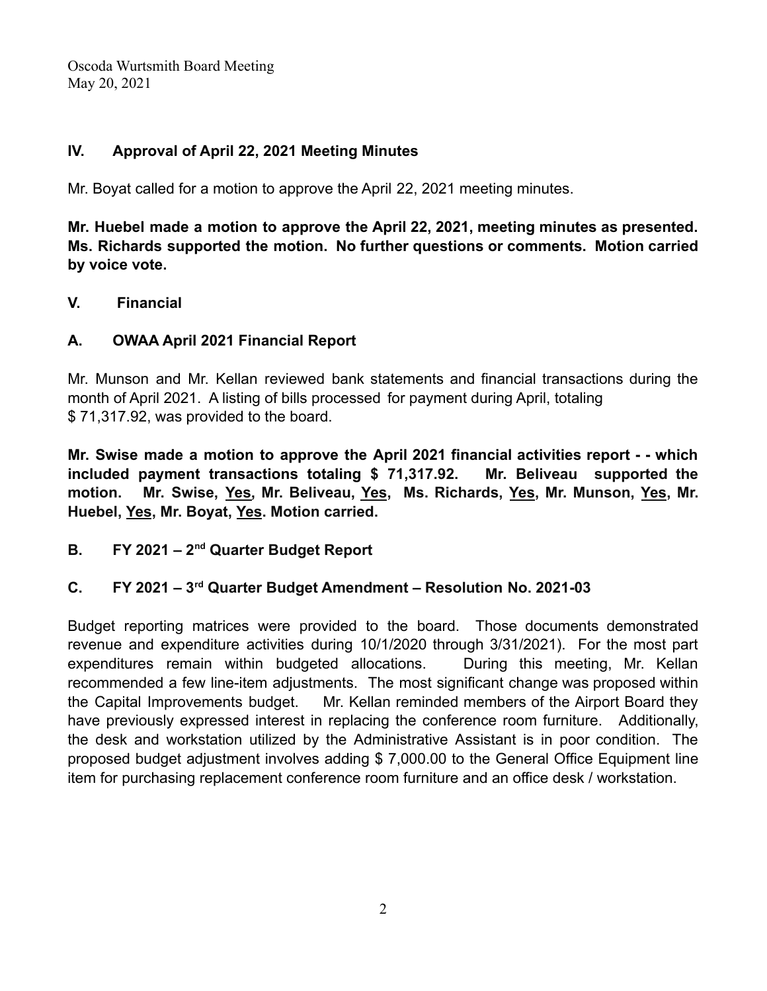# **IV. Approval of April 22, 2021 Meeting Minutes**

Mr. Boyat called for a motion to approve the April 22, 2021 meeting minutes.

**Mr. Huebel made a motion to approve the April 22, 2021, meeting minutes as presented. Ms. Richards supported the motion. No further questions or comments. Motion carried by voice vote.**

### **V. Financial**

# **A. OWAA April 2021 Financial Report**

Mr. Munson and Mr. Kellan reviewed bank statements and financial transactions during the month of April 2021. A listing of bills processed for payment during April, totaling \$ 71,317.92, was provided to the board.

**Mr. Swise made a motion to approve the April 2021 financial activities report - - which included payment transactions totaling \$ 71,317.92. Mr. Beliveau supported the motion. Mr. Swise, Yes, Mr. Beliveau, Yes, Ms. Richards, Yes, Mr. Munson, Yes, Mr. Huebel, Yes, Mr. Boyat, Yes. Motion carried.**

**B. FY 2021 – 2nd Quarter Budget Report**

### **C. FY 2021 – 3rd Quarter Budget Amendment – Resolution No. 2021-03**

Budget reporting matrices were provided to the board. Those documents demonstrated revenue and expenditure activities during 10/1/2020 through 3/31/2021). For the most part expenditures remain within budgeted allocations. During this meeting, Mr. Kellan recommended a few line-item adjustments. The most significant change was proposed within the Capital Improvements budget. Mr. Kellan reminded members of the Airport Board they have previously expressed interest in replacing the conference room furniture. Additionally, the desk and workstation utilized by the Administrative Assistant is in poor condition. The proposed budget adjustment involves adding \$ 7,000.00 to the General Office Equipment line item for purchasing replacement conference room furniture and an office desk / workstation.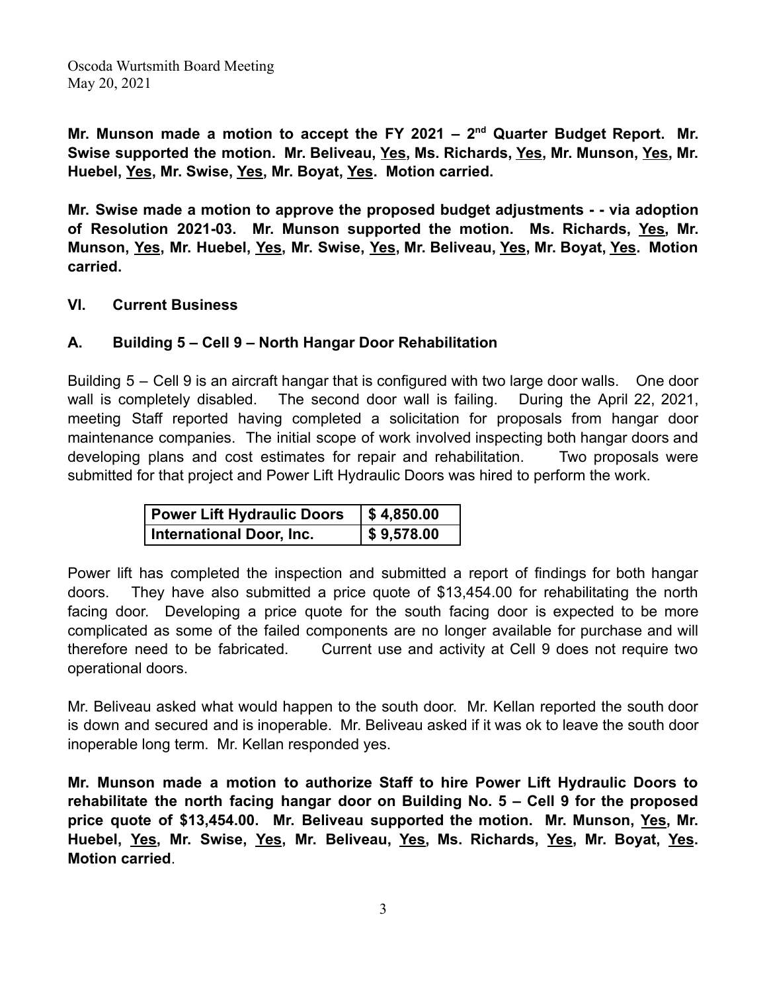**Mr. Munson made a motion to accept the FY 2021 – 2 nd Quarter Budget Report. Mr. Swise supported the motion. Mr. Beliveau, Yes, Ms. Richards, Yes, Mr. Munson, Yes, Mr. Huebel, Yes, Mr. Swise, Yes, Mr. Boyat, Yes. Motion carried.**

**Mr. Swise made a motion to approve the proposed budget adjustments - - via adoption of Resolution 2021-03. Mr. Munson supported the motion. Ms. Richards, Yes, Mr. Munson, Yes, Mr. Huebel, Yes, Mr. Swise, Yes, Mr. Beliveau, Yes, Mr. Boyat, Yes. Motion carried.**

**VI. Current Business**

## **A. Building 5 – Cell 9 – North Hangar Door Rehabilitation**

Building 5 – Cell 9 is an aircraft hangar that is configured with two large door walls. One door wall is completely disabled. The second door wall is failing. During the April 22, 2021, meeting Staff reported having completed a solicitation for proposals from hangar door maintenance companies. The initial scope of work involved inspecting both hangar doors and developing plans and cost estimates for repair and rehabilitation. Two proposals were submitted for that project and Power Lift Hydraulic Doors was hired to perform the work.

| <b>Power Lift Hydraulic Doors</b> | $\frac{1}{2}$ \$4,850.00 |
|-----------------------------------|--------------------------|
| <b>International Door, Inc.</b>   | $\frac{1}{9}$ \$9,578.00 |

Power lift has completed the inspection and submitted a report of findings for both hangar doors. They have also submitted a price quote of \$13,454.00 for rehabilitating the north facing door. Developing a price quote for the south facing door is expected to be more complicated as some of the failed components are no longer available for purchase and will therefore need to be fabricated. Current use and activity at Cell 9 does not require two operational doors.

Mr. Beliveau asked what would happen to the south door. Mr. Kellan reported the south door is down and secured and is inoperable. Mr. Beliveau asked if it was ok to leave the south door inoperable long term. Mr. Kellan responded yes.

**Mr. Munson made a motion to authorize Staff to hire Power Lift Hydraulic Doors to rehabilitate the north facing hangar door on Building No. 5 – Cell 9 for the proposed price quote of \$13,454.00. Mr. Beliveau supported the motion. Mr. Munson, Yes, Mr. Huebel, Yes, Mr. Swise, Yes, Mr. Beliveau, Yes, Ms. Richards, Yes, Mr. Boyat, Yes. Motion carried**.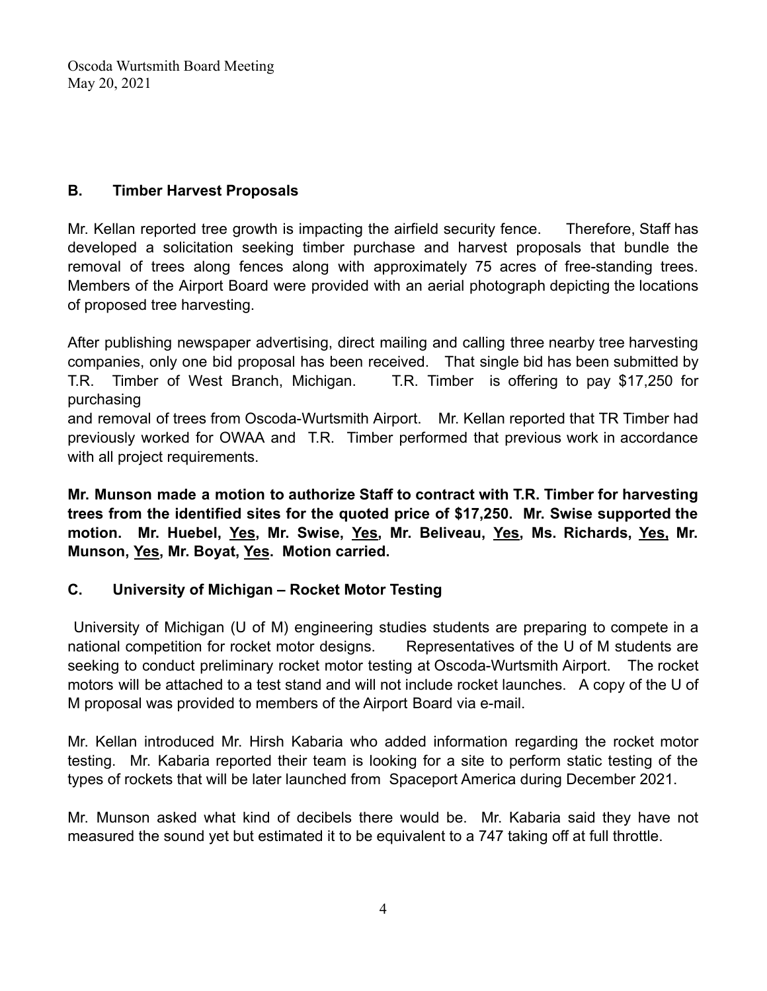# **B. Timber Harvest Proposals**

Mr. Kellan reported tree growth is impacting the airfield security fence. Therefore, Staff has developed a solicitation seeking timber purchase and harvest proposals that bundle the removal of trees along fences along with approximately 75 acres of free-standing trees. Members of the Airport Board were provided with an aerial photograph depicting the locations of proposed tree harvesting.

After publishing newspaper advertising, direct mailing and calling three nearby tree harvesting companies, only one bid proposal has been received. That single bid has been submitted by T.R. Timber of West Branch, Michigan. T.R. Timber is offering to pay \$17,250 for purchasing

and removal of trees from Oscoda-Wurtsmith Airport. Mr. Kellan reported that TR Timber had previously worked for OWAA and T.R. Timber performed that previous work in accordance with all project requirements.

**Mr. Munson made a motion to authorize Staff to contract with T.R. Timber for harvesting trees from the identified sites for the quoted price of \$17,250. Mr. Swise supported the motion. Mr. Huebel, Yes, Mr. Swise, Yes, Mr. Beliveau, Yes, Ms. Richards, Yes, Mr. Munson, Yes, Mr. Boyat, Yes. Motion carried.**

# **C. University of Michigan – Rocket Motor Testing**

University of Michigan (U of M) engineering studies students are preparing to compete in a national competition for rocket motor designs. Bepresentatives of the U of M students are seeking to conduct preliminary rocket motor testing at Oscoda-Wurtsmith Airport. The rocket motors will be attached to a test stand and will not include rocket launches. A copy of the U of M proposal was provided to members of the Airport Board via e-mail.

Mr. Kellan introduced Mr. Hirsh Kabaria who added information regarding the rocket motor testing. Mr. Kabaria reported their team is looking for a site to perform static testing of the types of rockets that will be later launched from Spaceport America during December 2021.

Mr. Munson asked what kind of decibels there would be. Mr. Kabaria said they have not measured the sound yet but estimated it to be equivalent to a 747 taking off at full throttle.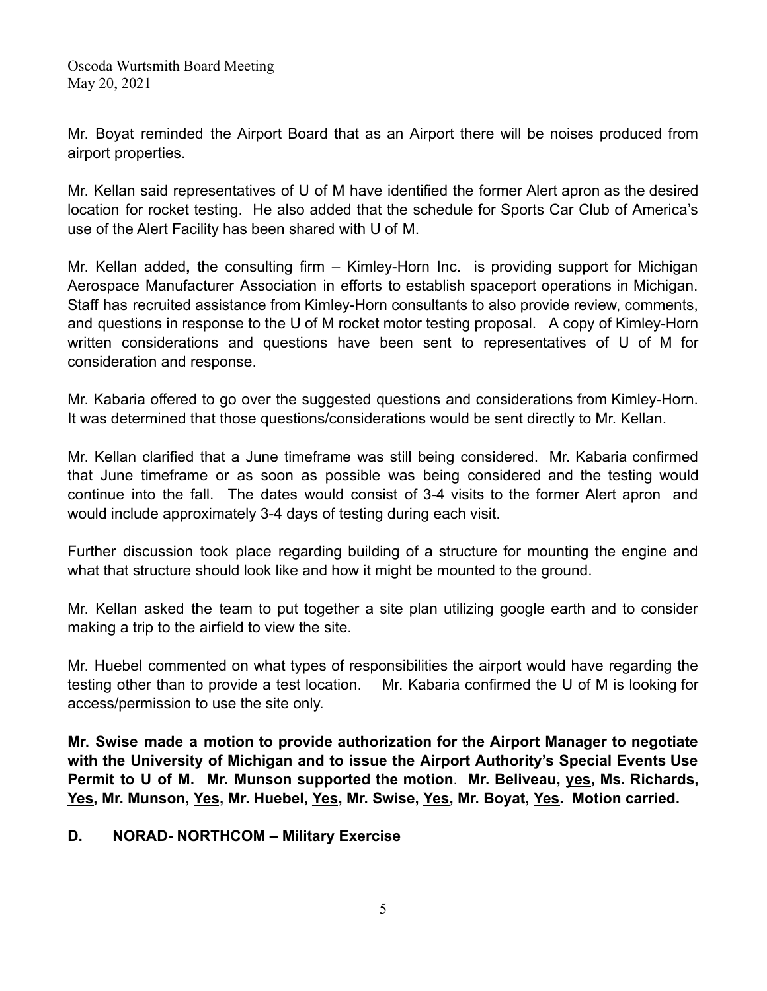Mr. Boyat reminded the Airport Board that as an Airport there will be noises produced from airport properties.

Mr. Kellan said representatives of U of M have identified the former Alert apron as the desired location for rocket testing. He also added that the schedule for Sports Car Club of America's use of the Alert Facility has been shared with U of M.

Mr. Kellan added**,** the consulting firm – Kimley-Horn Inc. is providing support for Michigan Aerospace Manufacturer Association in efforts to establish spaceport operations in Michigan. Staff has recruited assistance from Kimley-Horn consultants to also provide review, comments, and questions in response to the U of M rocket motor testing proposal. A copy of Kimley-Horn written considerations and questions have been sent to representatives of U of M for consideration and response.

Mr. Kabaria offered to go over the suggested questions and considerations from Kimley-Horn. It was determined that those questions/considerations would be sent directly to Mr. Kellan.

Mr. Kellan clarified that a June timeframe was still being considered. Mr. Kabaria confirmed that June timeframe or as soon as possible was being considered and the testing would continue into the fall. The dates would consist of 3-4 visits to the former Alert apron and would include approximately 3-4 days of testing during each visit.

Further discussion took place regarding building of a structure for mounting the engine and what that structure should look like and how it might be mounted to the ground.

Mr. Kellan asked the team to put together a site plan utilizing google earth and to consider making a trip to the airfield to view the site.

Mr. Huebel commented on what types of responsibilities the airport would have regarding the testing other than to provide a test location. Mr. Kabaria confirmed the U of M is looking for access/permission to use the site only.

**Mr. Swise made a motion to provide authorization for the Airport Manager to negotiate with the University of Michigan and to issue the Airport Authority's Special Events Use Permit to U of M. Mr. Munson supported the motion**. **Mr. Beliveau, yes, Ms. Richards, Yes, Mr. Munson, Yes, Mr. Huebel, Yes, Mr. Swise, Yes, Mr. Boyat, Yes. Motion carried.**

**D. NORAD- NORTHCOM – Military Exercise**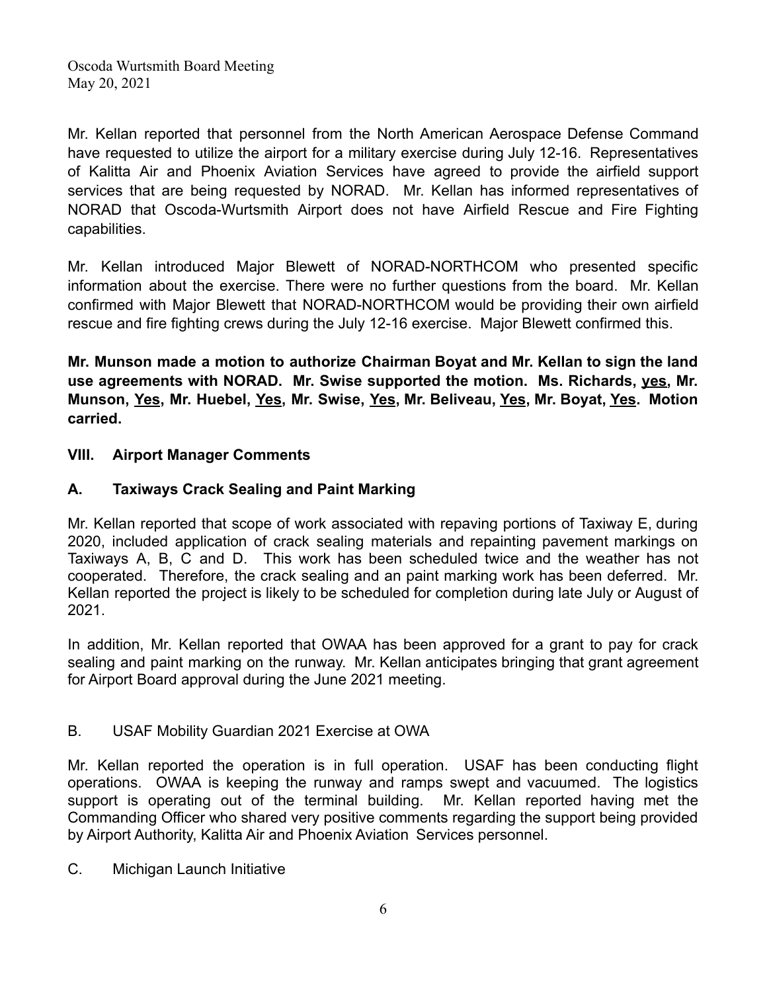Mr. Kellan reported that personnel from the North American Aerospace Defense Command have requested to utilize the airport for a military exercise during July 12-16. Representatives of Kalitta Air and Phoenix Aviation Services have agreed to provide the airfield support services that are being requested by NORAD. Mr. Kellan has informed representatives of NORAD that Oscoda-Wurtsmith Airport does not have Airfield Rescue and Fire Fighting capabilities.

Mr. Kellan introduced Major Blewett of NORAD-NORTHCOM who presented specific information about the exercise. There were no further questions from the board. Mr. Kellan confirmed with Major Blewett that NORAD-NORTHCOM would be providing their own airfield rescue and fire fighting crews during the July 12-16 exercise. Major Blewett confirmed this.

**Mr. Munson made a motion to authorize Chairman Boyat and Mr. Kellan to sign the land use agreements with NORAD. Mr. Swise supported the motion. Ms. Richards, yes, Mr. Munson, Yes, Mr. Huebel, Yes, Mr. Swise, Yes, Mr. Beliveau, Yes, Mr. Boyat, Yes. Motion carried.**

## **VIII. Airport Manager Comments**

# **A. Taxiways Crack Sealing and Paint Marking**

Mr. Kellan reported that scope of work associated with repaving portions of Taxiway E, during 2020, included application of crack sealing materials and repainting pavement markings on Taxiways A, B, C and D. This work has been scheduled twice and the weather has not cooperated. Therefore, the crack sealing and an paint marking work has been deferred. Mr. Kellan reported the project is likely to be scheduled for completion during late July or August of 2021.

In addition, Mr. Kellan reported that OWAA has been approved for a grant to pay for crack sealing and paint marking on the runway. Mr. Kellan anticipates bringing that grant agreement for Airport Board approval during the June 2021 meeting.

### B. USAF Mobility Guardian 2021 Exercise at OWA

Mr. Kellan reported the operation is in full operation. USAF has been conducting flight operations. OWAA is keeping the runway and ramps swept and vacuumed. The logistics support is operating out of the terminal building. Mr. Kellan reported having met the Commanding Officer who shared very positive comments regarding the support being provided by Airport Authority, Kalitta Air and Phoenix Aviation Services personnel.

C. Michigan Launch Initiative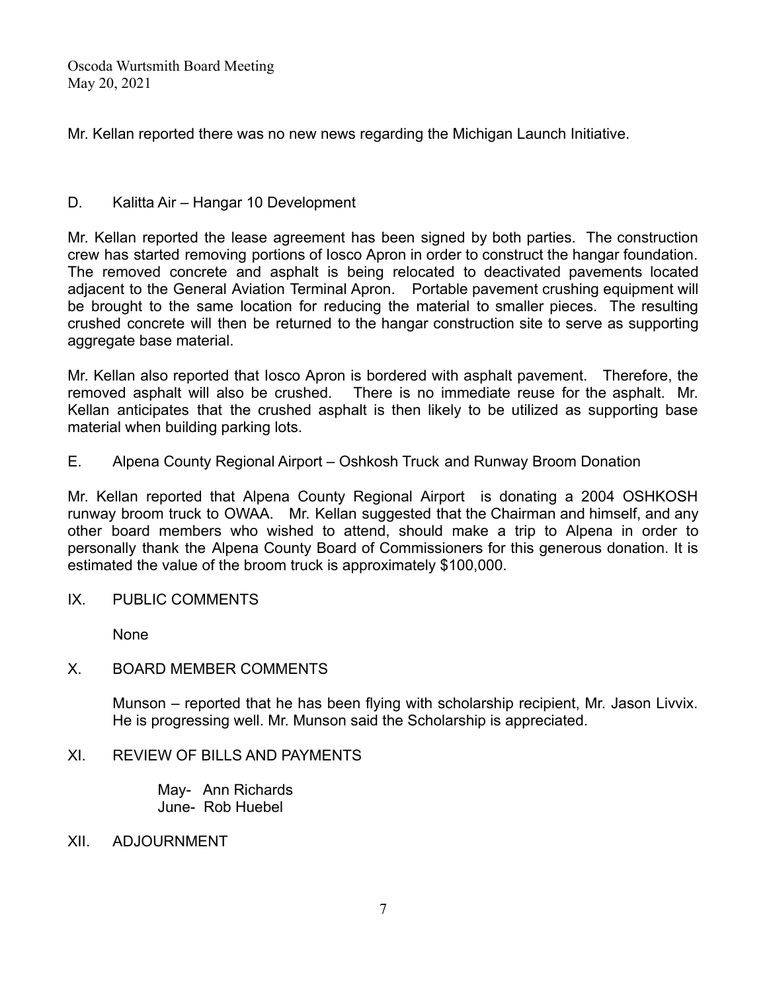Mr. Kellan reported there was no new news regarding the Michigan Launch Initiative.

### D. Kalitta Air – Hangar 10 Development

Mr. Kellan reported the lease agreement has been signed by both parties. The construction crew has started removing portions of Iosco Apron in order to construct the hangar foundation. The removed concrete and asphalt is being relocated to deactivated pavements located adjacent to the General Aviation Terminal Apron. Portable pavement crushing equipment will be brought to the same location for reducing the material to smaller pieces. The resulting crushed concrete will then be returned to the hangar construction site to serve as supporting aggregate base material.

Mr. Kellan also reported that Iosco Apron is bordered with asphalt pavement. Therefore, the removed asphalt will also be crushed. There is no immediate reuse for the asphalt. Mr. Kellan anticipates that the crushed asphalt is then likely to be utilized as supporting base material when building parking lots.

E. Alpena County Regional Airport – Oshkosh Truck and Runway Broom Donation

Mr. Kellan reported that Alpena County Regional Airport is donating a 2004 OSHKOSH runway broom truck to OWAA. Mr. Kellan suggested that the Chairman and himself, and any other board members who wished to attend, should make a trip to Alpena in order to personally thank the Alpena County Board of Commissioners for this generous donation. It is estimated the value of the broom truck is approximately \$100,000.

IX. PUBLIC COMMENTS

None

### X. BOARD MEMBER COMMENTS

Munson – reported that he has been flying with scholarship recipient, Mr. Jason Livvix. He is progressing well. Mr. Munson said the Scholarship is appreciated.

### XI. REVIEW OF BILLS AND PAYMENTS

May- Ann Richards June- Rob Huebel

XII. ADJOURNMENT